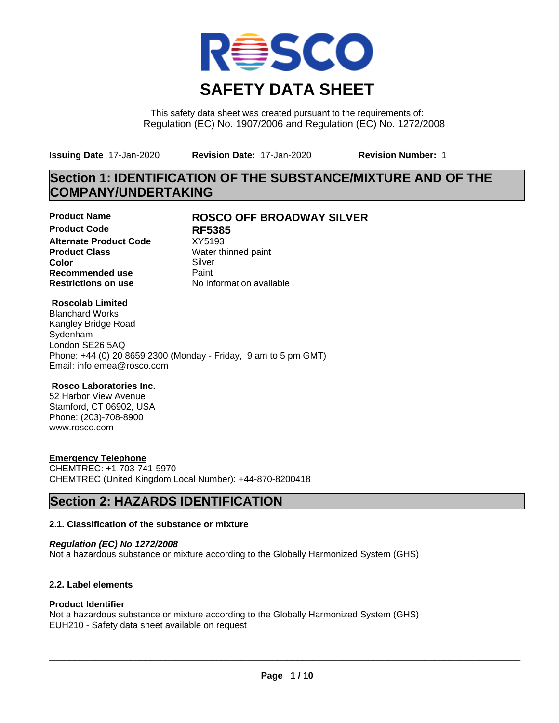

This safety data sheet was created pursuant to the requirements of: Regulation (EC) No. 1907/2006 and Regulation (EC) No. 1272/2008

**Issuing Date** 17-Jan-2020 **Revision Date:** 17-Jan-2020 **Revision Number:** 1

# **Section 1: IDENTIFICATION OF THE SUBSTANCE/MIXTURE AND OF THE COMPANY/UNDERTAKING**

**Product Code RF5385 Alternate Product Code** XY5193<br> **Product Class** Water th **Color** Silver Silver **Recommended use** Paint<br> **Restrictions on use** Mo information available **Restrictions on use** 

# **Product Name ROSCO OFF BROADWAY SILVER**

**Water thinned paint** 

## **Roscolab Limited**

Blanchard Works Kangley Bridge Road Sydenham London SE26 5AQ Phone: +44 (0) 20 8659 2300 (Monday - Friday, 9 am to 5 pm GMT) Email: info.emea@rosco.com

## **Rosco Laboratories Inc.**

52 Harbor View Avenue Stamford, CT 06902, USA Phone: (203)-708-8900 www.rosco.com

## **Emergency Telephone**

CHEMTREC: +1-703-741-5970 CHEMTREC (United Kingdom Local Number): +44-870-8200418

# **Section 2: HAZARDS IDENTIFICATION**

## **2.1. Classification of the substance or mixture**

*Regulation (EC) No 1272/2008* Not a hazardous substance or mixture according to the Globally Harmonized System (GHS)

## **2.2. Label elements**

### **Product Identifier**

Not a hazardous substance or mixture according to the Globally Harmonized System (GHS) EUH210 - Safety data sheet available on request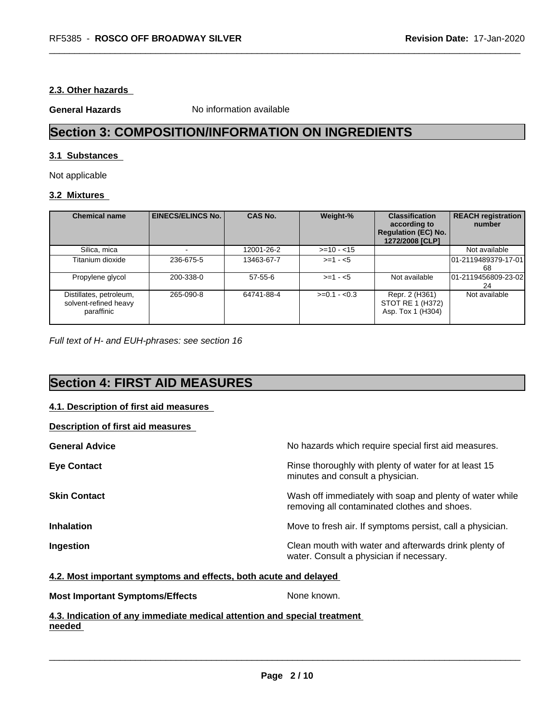## **2.3. Other hazards**

**General Hazards** No information available

# **Section 3: COMPOSITION/INFORMATION ON INGREDIENTS**

## **3.1 Substances**

Not applicable

## **3.2 Mixtures**

| <b>Chemical name</b>                                           | <b>EINECS/ELINCS No.</b> | <b>CAS No.</b> | Weight-%      | <b>Classification</b><br>according to<br><b>Regulation (EC) No.</b><br>1272/2008 [CLP] | <b>REACH registration</b><br>number |
|----------------------------------------------------------------|--------------------------|----------------|---------------|----------------------------------------------------------------------------------------|-------------------------------------|
| Silica, mica                                                   |                          | 12001-26-2     | $>=10 - 15$   |                                                                                        | Not available                       |
| Titanium dioxide                                               | 236-675-5                | 13463-67-7     | $>=1 - 5$     |                                                                                        | 101-2119489379-17-01<br>68          |
| Propylene glycol                                               | 200-338-0                | $57 - 55 - 6$  | $>= 1 - 5$    | Not available                                                                          | 01-2119456809-23-02<br>24           |
| Distillates, petroleum,<br>solvent-refined heavy<br>paraffinic | 265-090-8                | 64741-88-4     | $>=0.1 - 0.3$ | Repr. 2 (H361)<br>STOT RE 1 (H372)<br>Asp. Tox 1 (H304)                                | Not available                       |

*Full text of H- and EUH-phrases: see section 16*

# **Section 4: FIRST AID MEASURES**

### **4.1. Description of first aid measures**

| No hazards which require special first aid measures.                                                     |
|----------------------------------------------------------------------------------------------------------|
| Rinse thoroughly with plenty of water for at least 15<br>minutes and consult a physician.                |
| Wash off immediately with soap and plenty of water while<br>removing all contaminated clothes and shoes. |
| Move to fresh air. If symptoms persist, call a physician.                                                |
| Clean mouth with water and afterwards drink plenty of<br>water. Consult a physician if necessary.        |
|                                                                                                          |

### **4.2. Most important symptoms and effects, both acute and delayed**

**Most Important Symptoms/Effects** None known.

 $\overline{\phantom{a}}$  ,  $\overline{\phantom{a}}$  ,  $\overline{\phantom{a}}$  ,  $\overline{\phantom{a}}$  ,  $\overline{\phantom{a}}$  ,  $\overline{\phantom{a}}$  ,  $\overline{\phantom{a}}$  ,  $\overline{\phantom{a}}$  ,  $\overline{\phantom{a}}$  ,  $\overline{\phantom{a}}$  ,  $\overline{\phantom{a}}$  ,  $\overline{\phantom{a}}$  ,  $\overline{\phantom{a}}$  ,  $\overline{\phantom{a}}$  ,  $\overline{\phantom{a}}$  ,  $\overline{\phantom{a}}$ 

## **4.3. Indication of any immediate medical attention and special treatment needed**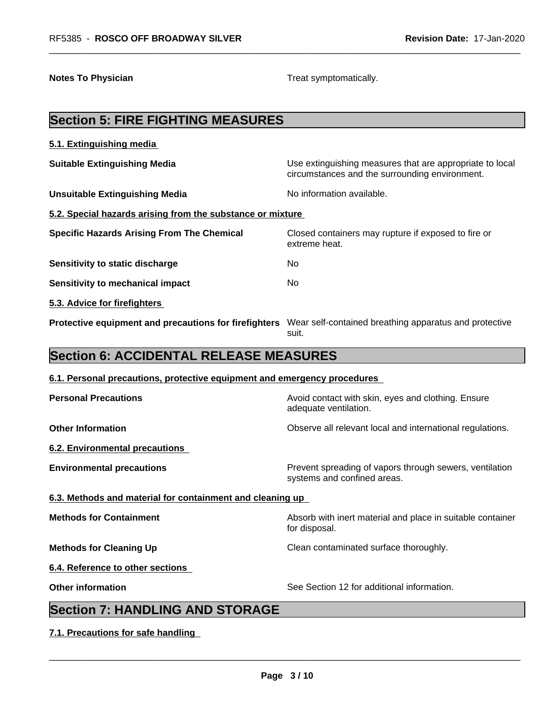**Notes To Physician Treat symptomatically.** 

# **Section 5: FIRE FIGHTING MEASURES 5.1. Extinguishing media Suitable Extinguishing Media** Media Use extinguishing measures that are appropriate to local circumstances and the surrounding environment. **Unsuitable Extinguishing Media** Noinformation available. **5.2. Special hazards arising from the substance or mixture Specific Hazards Arising From The Chemical** Closed containers may rupture ifexposed to fire or extreme heat. **Sensitivity to static discharge** Mo **Sensitivity to mechanical impact** No **5.3. Advice for firefighters Protective equipment and precautions for firefighters** Wear self-contained breathing apparatus and protective suit. **Section 6: ACCIDENTAL RELEASE MEASURES 6.1. Personal precautions, protective equipment and emergency procedures Personal Precautions Avoid contact with skin, eyes and clothing. Ensure** Avoid contact with skin, eyes and clothing. Ensure adequate ventilation. **Other Information Observe all relevant local and international regulations. 6.2. Environmental precautions Environmental precautions Environmental precautions Prevent spreading of vapors through sewers, ventilation** systems and confined areas. **6.3. Methods and material for containment and cleaning up Methods for Containment Absorb with inert material and place in suitable container** for disposal. **Methods for Cleaning Up Clean contaminated surface thoroughly. 6.4. Reference to other sections Other information** See Section 12 for additional information. **Section 7: HANDLING AND STORAGE 7.1. Precautions for safe handling**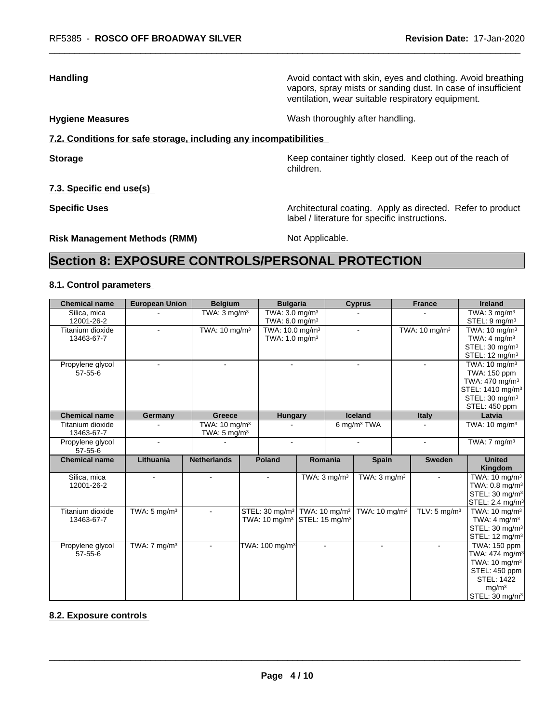**Handling Handling Avoid contact with skin, eyes and clothing. Avoid breathing Handling A** vapors, spray mists or sanding dust. In case of insufficient ventilation, wear suitable respiratory equipment.

**Hygiene Measures** Mash thoroughly after handling.

label / literature for specific instructions.

## **7.2. Conditions for safe storage, including any incompatibilities**

**Storage Keep container tightly closed.** Keep out of the reach of

**7.3. Specific end use(s)**

**Specific Uses Architectural coating. Apply as directed. Refer to product Specific Uses** 

**Risk Management Methods (RMM)** Not Applicable.

children.

# **Section 8: EXPOSURE CONTROLS/PERSONAL PROTECTION**

## **8.1. Control parameters**

| <b>Chemical name</b> | <b>European Union</b>   | <b>Belgium</b>            |                                                      | <b>Bulgaria</b>             |                         | <b>Cyprus</b>             | <b>France</b>             | <b>Ireland</b>               |
|----------------------|-------------------------|---------------------------|------------------------------------------------------|-----------------------------|-------------------------|---------------------------|---------------------------|------------------------------|
| Silica, mica         |                         | TWA: $3 \text{ mq/m}^3$   |                                                      | TWA: $3.0 \text{ mg/m}^3$   |                         |                           |                           | TWA: $3 \text{ mq/m}^3$      |
| 12001-26-2           |                         |                           |                                                      | TWA: $6.0 \text{ mg/m}^3$   |                         |                           |                           | STEL: 9 mg/m <sup>3</sup>    |
| Titanium dioxide     |                         | TWA: 10 mg/m <sup>3</sup> |                                                      | TWA: 10.0 mg/m <sup>3</sup> |                         |                           | TWA: 10 mg/m <sup>3</sup> | TWA: $10 \text{ mg/m}^3$     |
| 13463-67-7           |                         |                           |                                                      | TWA: $1.0 \text{ mg/m}^3$   |                         |                           |                           | TWA: $4 \text{ mg/m}^3$      |
|                      |                         |                           |                                                      |                             |                         |                           |                           | STEL: 30 mg/m <sup>3</sup>   |
|                      |                         |                           |                                                      |                             |                         |                           |                           | STEL: $12 \text{ mg/m}^3$    |
| Propylene glycol     |                         |                           |                                                      |                             |                         |                           |                           | TWA: 10 mg/m <sup>3</sup>    |
| $57 - 55 - 6$        |                         |                           |                                                      |                             |                         |                           |                           | TWA: 150 ppm                 |
|                      |                         |                           |                                                      |                             |                         |                           |                           | TWA: 470 mg/m <sup>3</sup>   |
|                      |                         |                           |                                                      |                             |                         |                           |                           | STEL: 1410 mg/m <sup>3</sup> |
|                      |                         |                           |                                                      |                             |                         |                           |                           | STEL: 30 mg/m <sup>3</sup>   |
|                      |                         |                           |                                                      |                             |                         |                           |                           | STEL: 450 ppm                |
| <b>Chemical name</b> | Germany                 | Greece                    |                                                      | <b>Hungary</b>              |                         | <b>Iceland</b>            | <b>Italy</b>              | Latvia                       |
| Titanium dioxide     |                         | TWA: $10 \text{ mg/m}^3$  |                                                      |                             |                         | 6 mg/m <sup>3</sup> TWA   |                           | TWA: $10 \text{ mg/m}^3$     |
| 13463-67-7           |                         | TWA: $5 \text{ mg/m}^3$   |                                                      |                             |                         |                           |                           |                              |
| Propylene glycol     | $\blacksquare$          |                           |                                                      | $\blacksquare$              |                         | $\overline{a}$            | $\blacksquare$            | TWA: $7 \text{ mg/m}^3$      |
| $57 - 55 - 6$        |                         |                           |                                                      |                             |                         |                           |                           |                              |
| <b>Chemical name</b> | Lithuania               | <b>Netherlands</b>        | <b>Poland</b>                                        |                             | Romania                 | <b>Spain</b>              | <b>Sweden</b>             | <b>United</b>                |
|                      |                         |                           |                                                      |                             |                         |                           |                           | Kingdom                      |
| Silica, mica         |                         |                           |                                                      |                             | TWA: $3 \text{ mg/m}^3$ | TWA: $3 \text{ mg/m}^3$   |                           | TWA: $10 \text{ mg/m}^3$     |
| 12001-26-2           |                         |                           |                                                      |                             |                         |                           |                           | TWA: $0.8$ mg/m <sup>3</sup> |
|                      |                         |                           |                                                      |                             |                         |                           |                           | STEL: 30 mg/m <sup>3</sup>   |
|                      |                         |                           |                                                      |                             |                         |                           |                           | STEL: 2.4 mg/m <sup>3</sup>  |
| Titanium dioxide     | TWA: $5 \text{ mg/m}^3$ | $\sim$                    | STEL: 30 mg/m <sup>3</sup> TWA: 10 mg/m <sup>3</sup> |                             |                         | TWA: 10 mg/m <sup>3</sup> | TLV: $5 \text{ mg/m}^3$   | TWA: 10 mg/m <sup>3</sup>    |
| 13463-67-7           |                         |                           | TWA: 10 mg/m <sup>3</sup> STEL: 15 mg/m <sup>3</sup> |                             |                         |                           |                           | TWA: $4 \text{ mq/m}^3$      |
|                      |                         |                           |                                                      |                             |                         |                           |                           | STEL: 30 mg/m <sup>3</sup>   |
|                      |                         |                           |                                                      |                             |                         |                           |                           | STEL: 12 mg/m <sup>3</sup>   |
| Propylene glycol     | TWA: $7 \text{ mg/m}^3$ | $\blacksquare$            | TWA: 100 mg/m <sup>3</sup>                           |                             | $\blacksquare$          | $\blacksquare$            | $\sim$                    | TWA: 150 ppm                 |
| $57 - 55 - 6$        |                         |                           |                                                      |                             |                         |                           |                           | TWA: 474 mg/m <sup>3</sup>   |
|                      |                         |                           |                                                      |                             |                         |                           |                           | TWA: $10 \text{ mg/m}^3$     |
|                      |                         |                           |                                                      |                             |                         |                           |                           | STEL: 450 ppm                |
|                      |                         |                           |                                                      |                             |                         |                           |                           | <b>STEL: 1422</b>            |
|                      |                         |                           |                                                      |                             |                         |                           |                           | mq/m <sup>3</sup>            |
|                      |                         |                           |                                                      |                             |                         |                           |                           | STEL: 30 mg/m <sup>3</sup>   |

### **8.2. Exposure controls**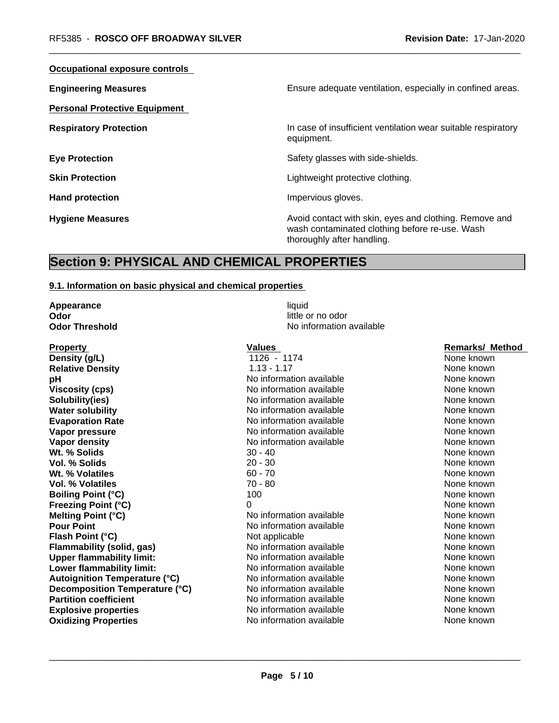| Ensure adequate ventilation, especially in confined areas.                                                                             |
|----------------------------------------------------------------------------------------------------------------------------------------|
|                                                                                                                                        |
| In case of insufficient ventilation wear suitable respiratory<br>equipment.                                                            |
| Safety glasses with side-shields.                                                                                                      |
| Lightweight protective clothing.                                                                                                       |
| Impervious gloves.                                                                                                                     |
| Avoid contact with skin, eyes and clothing. Remove and<br>wash contaminated clothing before re-use. Wash<br>thoroughly after handling. |
|                                                                                                                                        |

# **Section 9: PHYSICAL AND CHEMICAL PROPERTIES**

### **9.1. Information on basic physical and chemical properties**

**Appearance** liquid **Odor** little or no odor

**Property CONSERVITY CONSERVANCE CONSERVANCE Values CONSERVANCE CONSERVANCE CONSERVANCE CONSERVANCE CONSERVANCE CONSERVANCE CONSERVANCE CONSERVANCE CONSERVANCE CONSERVANCE CONSERVANCE CONSERVANCE CONSERVANCE CONSERVANC Density (g/L)** 1126 - 1174 None known **Relative Density 1.13 - 1.17** None known **pH has a contract to the Manufature None Contract of None Known** None known None known **Viscosity (cps)** No information available None known None known **Solubility(ies)** No information available None known None known **Water solubility** Note 2008 Note 2012 Note 2012 None known None known None known **Evaporation Rate Notifiable** No information available **None known** None known **Vapor pressure** Noinformation available None known None known **Vapor density Notify Note 2008** No information available **Note 2008** None known<br> **Wt.** % Solids **Note known 30 - 40** None known **Wt. % Solids** 30 - 40 None known **Vol. % Solids** 20 - 30 None known **COL 30 None known Wt. % Volatiles** 60 - 70 None known **Vol. % Volatiles** 70 - 80 None known None known **Boiling Point (°C)** 100 100 None known **Freezing Point (°C)** 0 0 None known **Melting Point (°C)** No information available None known **Pour Point** No information available None known None known **Flash Point (°C) Not applicable None known None known Flammability (solid, gas)** Noinformation available None known **Upper flammability limit:** No information available None Known<br>
None known<br>
None known
None the None known
None the None Known
None the None Known
None Known
None the None Known
None the None Known
None the None Known
Non **Lower flammability limit:** No information available None known None known **Autoignition Temperature (°C)** No information available None known **Decomposition Temperature (°C)** No information available None Known None known **Partition coefficient** and the information available None Known None known **Explosive properties** Noinformation available None known None known **Oxidizing Properties No information available** None known None known

**Odor Threshold No information available No information available**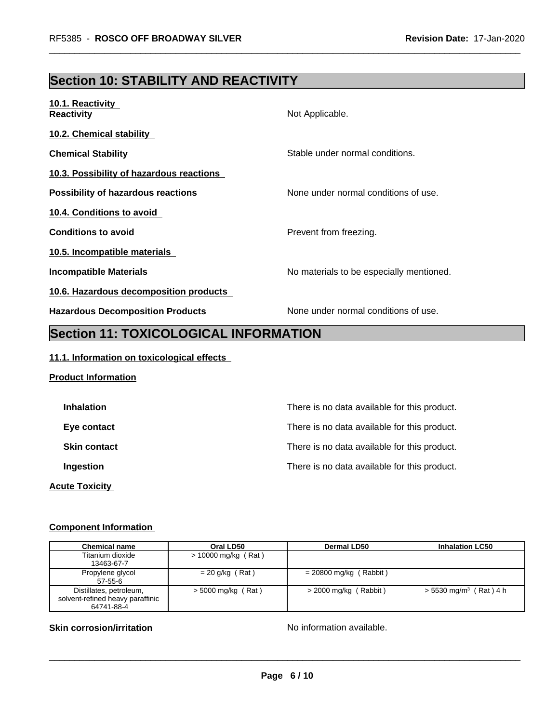# **Section 10: STABILITY AND REACTIVITY**

| 10.1. Reactivity<br><b>Reactivity</b>     | Not Applicable.                          |
|-------------------------------------------|------------------------------------------|
| <b>10.2. Chemical stability</b>           |                                          |
| <b>Chemical Stability</b>                 | Stable under normal conditions.          |
| 10.3. Possibility of hazardous reactions  |                                          |
| <b>Possibility of hazardous reactions</b> | None under normal conditions of use.     |
| 10.4. Conditions to avoid                 |                                          |
| <b>Conditions to avoid</b>                | Prevent from freezing.                   |
| 10.5. Incompatible materials              |                                          |
| <b>Incompatible Materials</b>             | No materials to be especially mentioned. |
| 10.6. Hazardous decomposition products    |                                          |
| <b>Hazardous Decomposition Products</b>   | None under normal conditions of use.     |

# **Section 11: TOXICOLOGICAL INFORMATION**

## **11.1. Information on toxicological effects**

## **Product Information**

| <b>Inhalation</b>     | There is no data available for this product. |
|-----------------------|----------------------------------------------|
| Eye contact           | There is no data available for this product. |
| <b>Skin contact</b>   | There is no data available for this product. |
| Ingestion             | There is no data available for this product. |
| <b>Acute Toxicity</b> |                                              |

# **Component Information**

| <b>Chemical name</b>                                                      | Oral LD50             | Dermal LD50              | <b>Inhalation LC50</b>               |
|---------------------------------------------------------------------------|-----------------------|--------------------------|--------------------------------------|
| Titanium dioxide<br>13463-67-7                                            | $> 10000$ mg/kg (Rat) |                          |                                      |
| Propylene glycol<br>57-55-6                                               | $= 20$ g/kg (Rat)     | $= 20800$ mg/kg (Rabbit) |                                      |
| Distillates, petroleum,<br>solvent-refined heavy paraffinic<br>64741-88-4 | $>$ 5000 mg/kg (Rat)  | $>$ 2000 mg/kg (Rabbit)  | $> 5530$ mg/m <sup>3</sup> (Rat) 4 h |

## **Skin corrosion/irritation** No information available.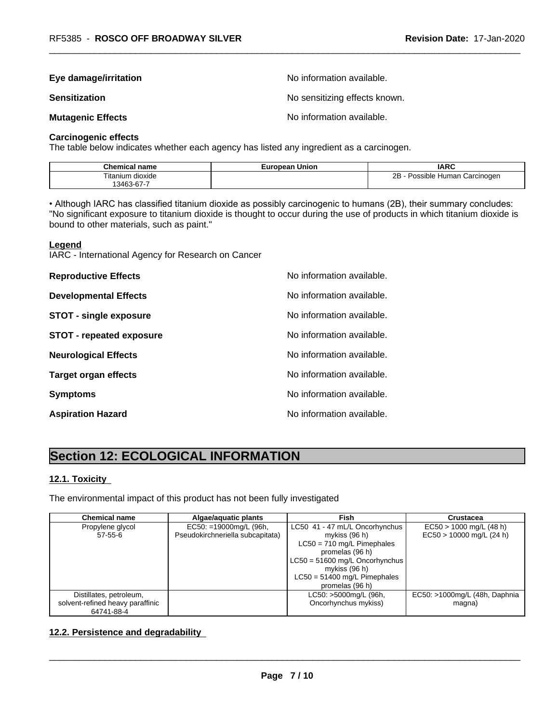# **Eye damage/irritation Eye damage/irritation No information available.**

**Sensitization Sensitization No sensitizing effects known.** 

**Mutagenic Effects Mutagenic Effects No information available.** 

#### **Carcinogenic effects**

The table below indicates whether each agency has listed any ingredient as a carcinogen.

| Chemical<br>∣ name  | Union<br>жан<br>−ur | <b>IARC</b>                                         |
|---------------------|---------------------|-----------------------------------------------------|
| Titanium<br>dioxide |                     | חר<br>. Carcinogen<br>Human<br>`sıble:<br>$\cdot$ . |
| 3463-67-7           |                     |                                                     |

• Although IARC has classified titanium dioxide as possibly carcinogenic to humans (2B), their summary concludes: "No significant exposure to titanium dioxide is thought to occur during the use of products in which titanium dioxide is bound to other materials, such as paint."

#### **Legend**

IARC - International Agency for Research on Cancer

| <b>Reproductive Effects</b>     | No information available. |
|---------------------------------|---------------------------|
| <b>Developmental Effects</b>    | No information available. |
| <b>STOT - single exposure</b>   | No information available. |
| <b>STOT - repeated exposure</b> | No information available. |
| <b>Neurological Effects</b>     | No information available. |
| <b>Target organ effects</b>     | No information available. |
| <b>Symptoms</b>                 | No information available. |
| <b>Aspiration Hazard</b>        | No information available. |

# **Section 12: ECOLOGICAL INFORMATION**

### **12.1. Toxicity**

The environmental impact of this product has not been fully investigated

| Chemical name                    | Algae/aquatic plants             | Fish                             | Crustacea                     |
|----------------------------------|----------------------------------|----------------------------------|-------------------------------|
| Propylene glycol                 | EC50: =19000mg/L (96h,           | LC50 41 - 47 mL/L Oncorhynchus   | $EC50 > 1000$ mg/L (48 h)     |
| 57-55-6                          | Pseudokirchneriella subcapitata) | mykiss $(96 h)$                  | $EC50 > 10000$ mg/L (24 h)    |
|                                  |                                  | $LC50 = 710$ mg/L Pimephales     |                               |
|                                  |                                  | promelas (96 h)                  |                               |
|                                  |                                  | $LC50 = 51600$ mg/L Oncorhynchus |                               |
|                                  |                                  | mykiss $(96 h)$                  |                               |
|                                  |                                  | $LC50 = 51400$ mg/L Pimephales   |                               |
|                                  |                                  | promelas (96 h)                  |                               |
| Distillates, petroleum,          |                                  | LC50: >5000mg/L (96h,            | EC50: >1000mg/L (48h, Daphnia |
| solvent-refined heavy paraffinic |                                  | Oncorhynchus mykiss)             | magna)                        |
| 64741-88-4                       |                                  |                                  |                               |

# **12.2. Persistence and degradability**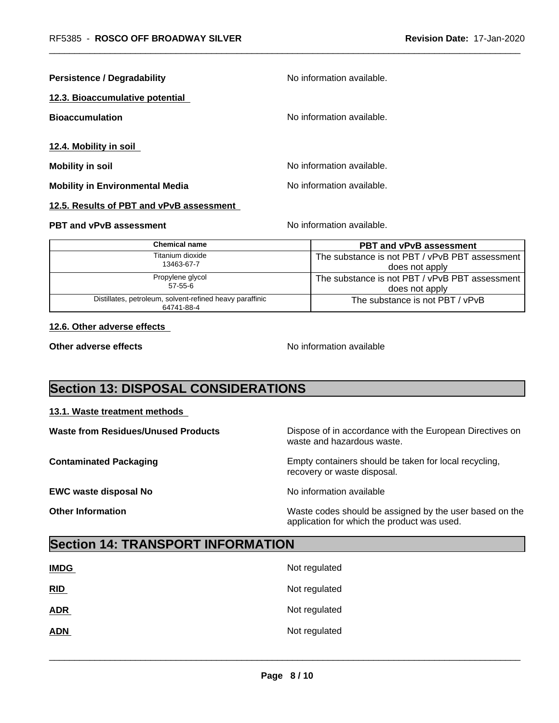| <b>Persistence / Degradability</b>       | No information available. |  |
|------------------------------------------|---------------------------|--|
| 12.3. Bioaccumulative potential          |                           |  |
| <b>Bioaccumulation</b>                   | No information available. |  |
| 12.4. Mobility in soil                   |                           |  |
| <b>Mobility in soil</b>                  | No information available. |  |
| <b>Mobility in Environmental Media</b>   | No information available. |  |
| 12.5. Results of PBT and vPvB assessment |                           |  |
| <b>PBT and vPvB assessment</b>           | No information available. |  |

| <b>Chemical name</b>                                                   | <b>PBT and vPvB assessment</b>                 |
|------------------------------------------------------------------------|------------------------------------------------|
| Titanium dioxide                                                       | The substance is not PBT / vPvB PBT assessment |
| 13463-67-7                                                             | does not apply                                 |
| Propylene glycol                                                       | The substance is not PBT / vPvB PBT assessment |
| $57 - 55 - 6$                                                          | does not apply                                 |
| Distillates, petroleum, solvent-refined heavy paraffinic<br>64741-88-4 | The substance is not PBT / vPvB                |

### **12.6. Other adverse effects**

**Other adverse effects** No information available

# **Section 13: DISPOSAL CONSIDERATIONS**

#### **13.1. Waste treatment methods**

| <b>Waste from Residues/Unused Products</b> | Dispose of in accordance with the European Directives on<br>waste and hazardous waste.                 |
|--------------------------------------------|--------------------------------------------------------------------------------------------------------|
| <b>Contaminated Packaging</b>              | Empty containers should be taken for local recycling,<br>recovery or waste disposal.                   |
| <b>EWC waste disposal No</b>               | No information available                                                                               |
| <b>Other Information</b>                   | Waste codes should be assigned by the user based on the<br>application for which the product was used. |

# **Section 14: TRANSPORT INFORMATION**

| <b>IMDG</b> | Not regulated |
|-------------|---------------|
| RID         | Not regulated |
| <b>ADR</b>  | Not regulated |
| <b>ADN</b>  | Not regulated |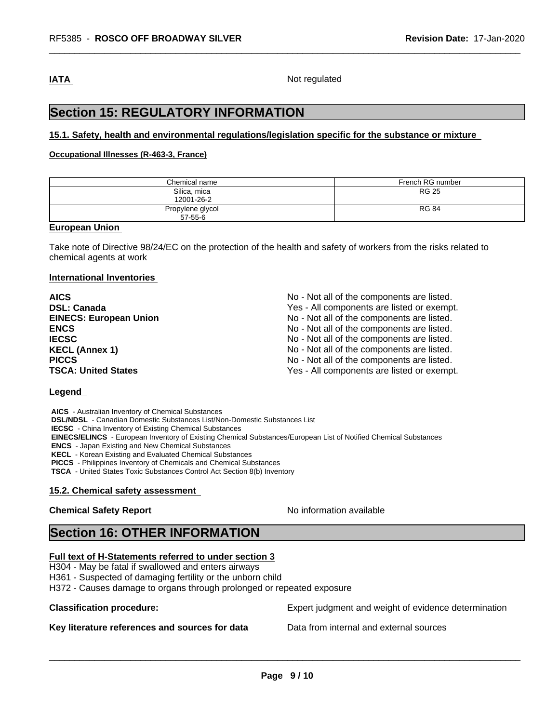**IATA** Not regulated

# **Section 15: REGULATORY INFORMATION**

#### **15.1. Safety, health and environmental regulations/legislation specific for the substance or mixture**

#### **Occupational Illnesses (R-463-3, France)**

| Chemical name                     | French RG number |
|-----------------------------------|------------------|
| Silica, mica<br>12001-26-2        | <b>RG 25</b>     |
| Propylene glycol<br>$57 - 55 - 6$ | <b>RG 84</b>     |

#### **European Union**

Take note of Directive 98/24/EC on the protection of the health and safety of workers from the risks related to chemical agents at work

#### **International Inventories**

| <b>AICS</b>                   | No - Not all of the components are listed. |
|-------------------------------|--------------------------------------------|
| <b>DSL: Canada</b>            | Yes - All components are listed or exempt. |
| <b>EINECS: European Union</b> | No - Not all of the components are listed. |
| <b>ENCS</b>                   | No - Not all of the components are listed. |
| <b>IECSC</b>                  | No - Not all of the components are listed. |
| <b>KECL (Annex 1)</b>         | No - Not all of the components are listed. |
| <b>PICCS</b>                  | No - Not all of the components are listed. |
| <b>TSCA: United States</b>    | Yes - All components are listed or exempt. |

#### **Legend**

 **AICS** - Australian Inventory of Chemical Substances  **DSL/NDSL** - Canadian Domestic Substances List/Non-Domestic Substances List  **IECSC** - China Inventory of Existing Chemical Substances  **EINECS/ELINCS** - European Inventory of Existing Chemical Substances/European List of Notified Chemical Substances  **ENCS** - Japan Existing and New Chemical Substances  **KECL** - Korean Existing and Evaluated Chemical Substances  **PICCS** - Philippines Inventory of Chemicals and Chemical Substances  **TSCA** - United States Toxic Substances Control Act Section 8(b) Inventory

### **15.2. Chemical safety assessment**

#### **Chemical Safety Report No information available**

 $\overline{\phantom{a}}$  ,  $\overline{\phantom{a}}$  ,  $\overline{\phantom{a}}$  ,  $\overline{\phantom{a}}$  ,  $\overline{\phantom{a}}$  ,  $\overline{\phantom{a}}$  ,  $\overline{\phantom{a}}$  ,  $\overline{\phantom{a}}$  ,  $\overline{\phantom{a}}$  ,  $\overline{\phantom{a}}$  ,  $\overline{\phantom{a}}$  ,  $\overline{\phantom{a}}$  ,  $\overline{\phantom{a}}$  ,  $\overline{\phantom{a}}$  ,  $\overline{\phantom{a}}$  ,  $\overline{\phantom{a}}$ 

# **Section 16: OTHER INFORMATION**

## **Full text of H-Statements referred to under section 3**

H304 - May be fatal if swallowed and enters airways

H361 - Suspected of damaging fertility or the unborn child

H372 - Causes damage to organs through prolonged or repeated exposure

## **Key literature references and sources for data** Data from internal and external sources

**Classification procedure:** Expert judgment and weight of evidence determination